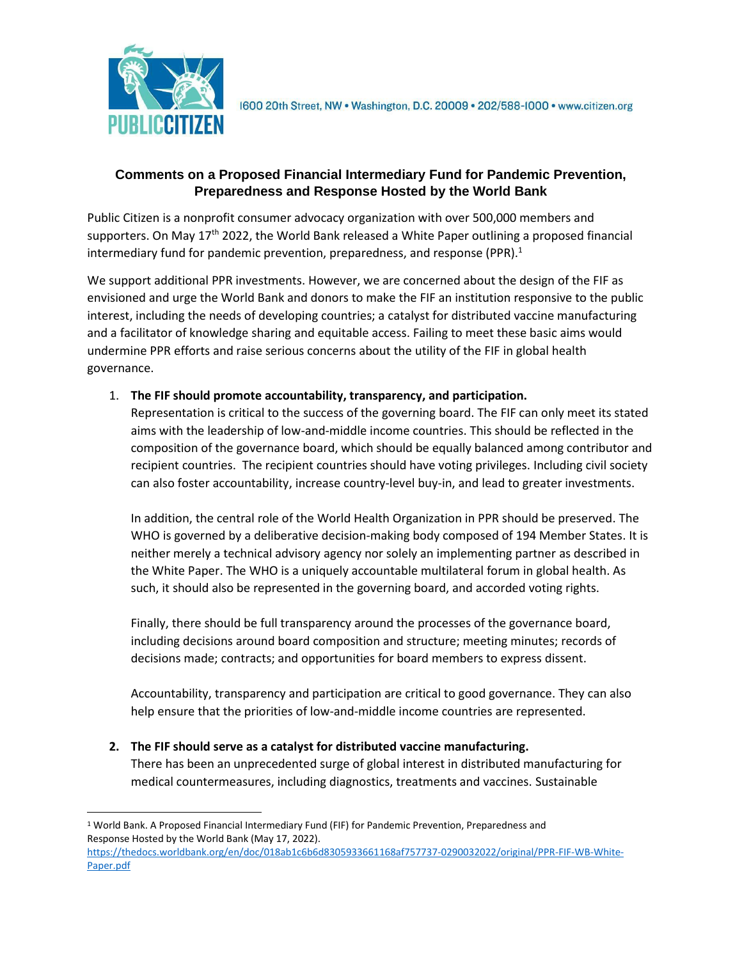

1600 20th Street, NW . Washington, D.C. 20009 . 202/588-1000 . www.citizen.org

## **Comments on a Proposed Financial Intermediary Fund for Pandemic Prevention, Preparedness and Response Hosted by the World Bank**

Public Citizen is a nonprofit consumer advocacy organization with over 500,000 members and supporters. On May 17<sup>th</sup> 2022, the World Bank released a White Paper outlining a proposed financial intermediary fund for pandemic prevention, preparedness, and response (PPR). $<sup>1</sup>$ </sup>

We support additional PPR investments. However, we are concerned about the design of the FIF as envisioned and urge the World Bank and donors to make the FIF an institution responsive to the public interest, including the needs of developing countries; a catalyst for distributed vaccine manufacturing and a facilitator of knowledge sharing and equitable access. Failing to meet these basic aims would undermine PPR efforts and raise serious concerns about the utility of the FIF in global health governance.

## 1. **The FIF should promote accountability, transparency, and participation.**

Representation is critical to the success of the governing board. The FIF can only meet its stated aims with the leadership of low-and-middle income countries. This should be reflected in the composition of the governance board, which should be equally balanced among contributor and recipient countries. The recipient countries should have voting privileges. Including civil society can also foster accountability, increase country-level buy-in, and lead to greater investments.

In addition, the central role of the World Health Organization in PPR should be preserved. The WHO is governed by a deliberative decision-making body composed of 194 Member States. It is neither merely a technical advisory agency nor solely an implementing partner as described in the White Paper. The WHO is a uniquely accountable multilateral forum in global health. As such, it should also be represented in the governing board, and accorded voting rights.

Finally, there should be full transparency around the processes of the governance board, including decisions around board composition and structure; meeting minutes; records of decisions made; contracts; and opportunities for board members to express dissent.

Accountability, transparency and participation are critical to good governance. They can also help ensure that the priorities of low-and-middle income countries are represented.

**2. The FIF should serve as a catalyst for distributed vaccine manufacturing.**

There has been an unprecedented surge of global interest in distributed manufacturing for medical countermeasures, including diagnostics, treatments and vaccines. Sustainable

[https://thedocs.worldbank.org/en/doc/018ab1c6b6d8305933661168af757737-0290032022/original/PPR-FIF-WB-White-](https://thedocs.worldbank.org/en/doc/018ab1c6b6d8305933661168af757737-0290032022/original/PPR-FIF-WB-White-Paper.pdf)[Paper.pdf](https://thedocs.worldbank.org/en/doc/018ab1c6b6d8305933661168af757737-0290032022/original/PPR-FIF-WB-White-Paper.pdf)

<sup>1</sup> World Bank. A Proposed Financial Intermediary Fund (FIF) for Pandemic Prevention, Preparedness and Response Hosted by the World Bank (May 17, 2022).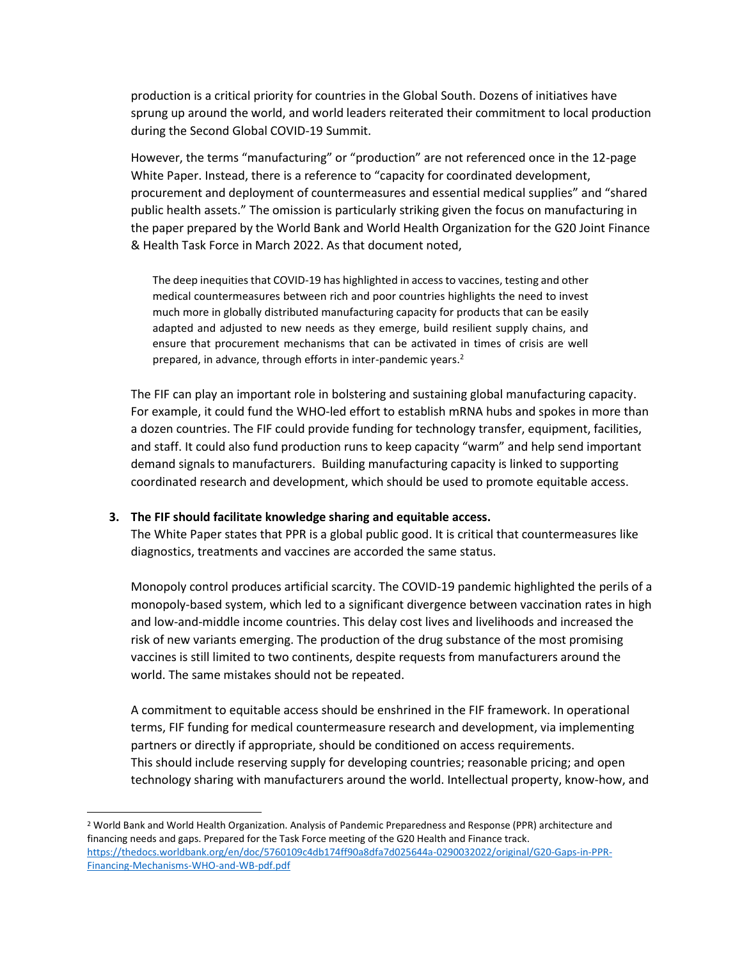production is a critical priority for countries in the Global South. Dozens of initiatives have sprung up around the world, and world leaders reiterated their commitment to local production during the Second Global COVID-19 Summit.

However, the terms "manufacturing" or "production" are not referenced once in the 12-page White Paper. Instead, there is a reference to "capacity for coordinated development, procurement and deployment of countermeasures and essential medical supplies" and "shared public health assets." The omission is particularly striking given the focus on manufacturing in the paper prepared by the World Bank and World Health Organization for the G20 Joint Finance & Health Task Force in March 2022. As that document noted,

The deep inequities that COVID-19 has highlighted in access to vaccines, testing and other medical countermeasures between rich and poor countries highlights the need to invest much more in globally distributed manufacturing capacity for products that can be easily adapted and adjusted to new needs as they emerge, build resilient supply chains, and ensure that procurement mechanisms that can be activated in times of crisis are well prepared, in advance, through efforts in inter-pandemic years.<sup>2</sup>

The FIF can play an important role in bolstering and sustaining global manufacturing capacity. For example, it could fund the WHO-led effort to establish mRNA hubs and spokes in more than a dozen countries. The FIF could provide funding for technology transfer, equipment, facilities, and staff. It could also fund production runs to keep capacity "warm" and help send important demand signals to manufacturers. Building manufacturing capacity is linked to supporting coordinated research and development, which should be used to promote equitable access.

## **3. The FIF should facilitate knowledge sharing and equitable access.**

The White Paper states that PPR is a global public good. It is critical that countermeasures like diagnostics, treatments and vaccines are accorded the same status.

Monopoly control produces artificial scarcity. The COVID-19 pandemic highlighted the perils of a monopoly-based system, which led to a significant divergence between vaccination rates in high and low-and-middle income countries. This delay cost lives and livelihoods and increased the risk of new variants emerging. The production of the drug substance of the most promising vaccines is still limited to two continents, despite requests from manufacturers around the world. The same mistakes should not be repeated.

A commitment to equitable access should be enshrined in the FIF framework. In operational terms, FIF funding for medical countermeasure research and development, via implementing partners or directly if appropriate, should be conditioned on access requirements. This should include reserving supply for developing countries; reasonable pricing; and open technology sharing with manufacturers around the world. Intellectual property, know-how, and

<sup>2</sup> World Bank and World Health Organization. Analysis of Pandemic Preparedness and Response (PPR) architecture and financing needs and gaps. Prepared for the Task Force meeting of the G20 Health and Finance track. [https://thedocs.worldbank.org/en/doc/5760109c4db174ff90a8dfa7d025644a-0290032022/original/G20-Gaps-in-PPR-](https://thedocs.worldbank.org/en/doc/5760109c4db174ff90a8dfa7d025644a-0290032022/original/G20-Gaps-in-PPR-Financing-Mechanisms-WHO-and-WB-pdf.pdf)[Financing-Mechanisms-WHO-and-WB-pdf.pdf](https://thedocs.worldbank.org/en/doc/5760109c4db174ff90a8dfa7d025644a-0290032022/original/G20-Gaps-in-PPR-Financing-Mechanisms-WHO-and-WB-pdf.pdf)